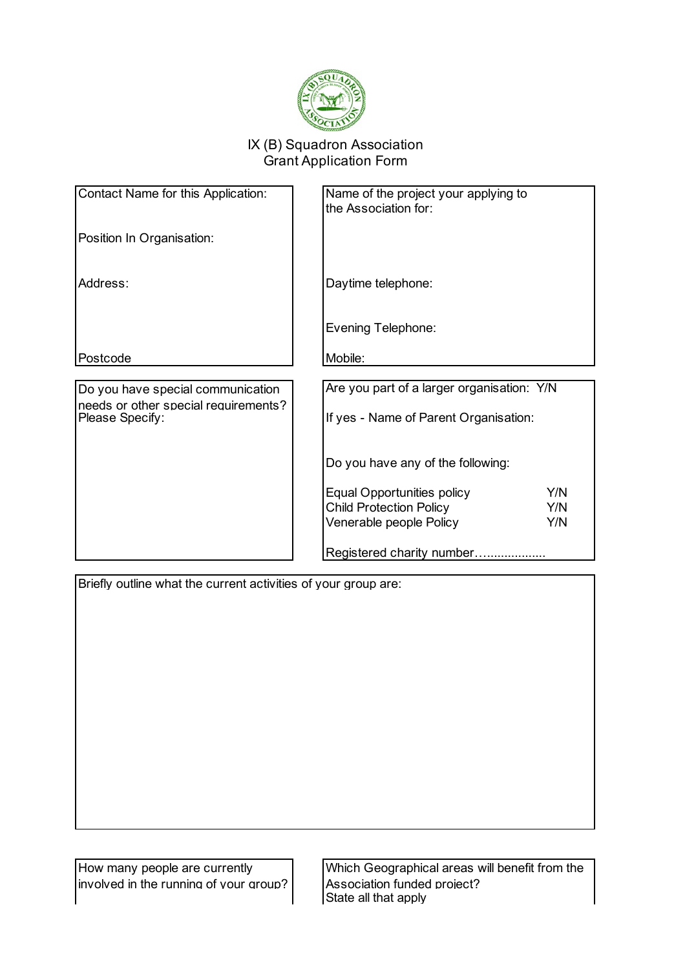

## IX (B) Squadron Association Grant Application Form

| Contact Name for this Application:                      | Name of the project your applying to<br>the Association for: |
|---------------------------------------------------------|--------------------------------------------------------------|
| Position In Organisation:                               |                                                              |
| Address:                                                | Daytime telephone:                                           |
|                                                         | <b>Evening Telephone:</b>                                    |
| Postcode                                                | Mobile:                                                      |
|                                                         |                                                              |
| Do you have special communication                       | Are you part of a larger organisation: Y/N                   |
| needs or other special requirements?<br>Please Specify: | If yes - Name of Parent Organisation:                        |
|                                                         | Do you have any of the following:                            |
|                                                         | Y/N<br><b>Equal Opportunities policy</b>                     |
|                                                         | <b>Child Protection Policy</b><br>Y/N                        |
|                                                         |                                                              |
|                                                         | Y/N<br>Venerable people Policy                               |
|                                                         | Registered charity number                                    |

Briefly outline what the current activities of your group are:

How many people are currently involved in the running of your group? Which Geographical areas will benefit from the Association funded project? State all that apply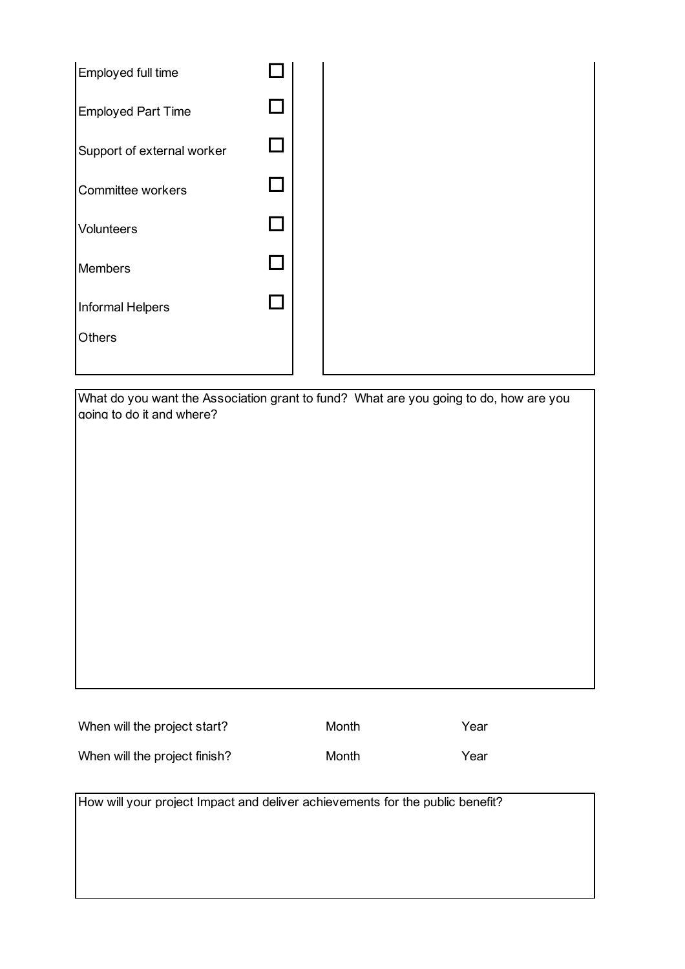| Employed full time         |  |
|----------------------------|--|
| <b>Employed Part Time</b>  |  |
| Support of external worker |  |
| Committee workers          |  |
| Volunteers                 |  |
| <b>Members</b>             |  |
| Informal Helpers           |  |
| Others                     |  |
|                            |  |

What do you want the Association grant to fund? What are you going to do, how are you aoing to do it and where?

| When will the project start?  | Month | Year |
|-------------------------------|-------|------|
| When will the project finish? | Month | Year |

How will your project Impact and deliver achievements for the public benefit?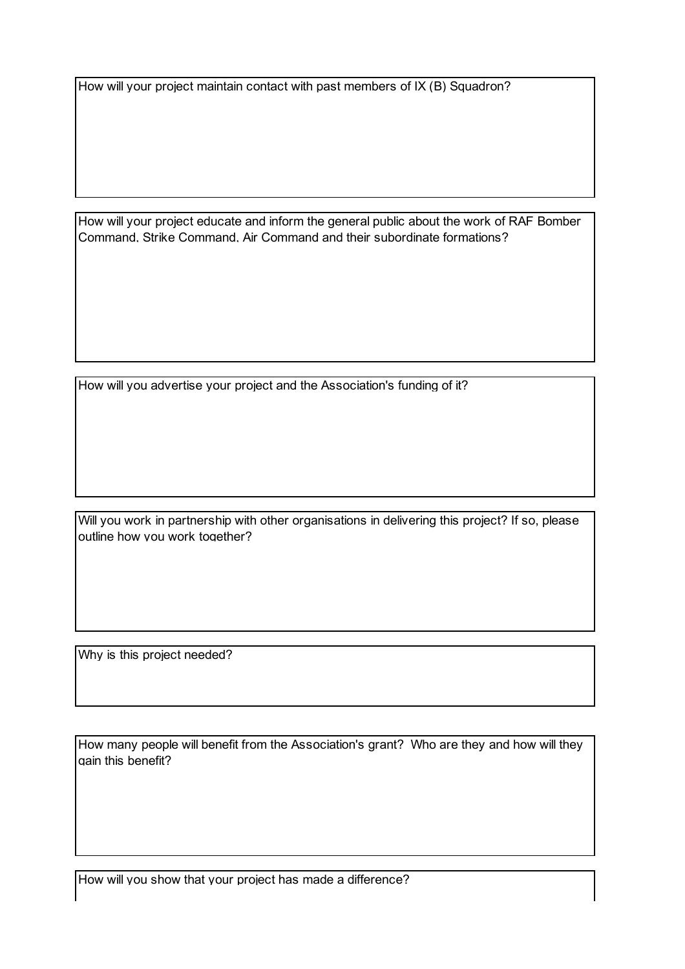How will your project maintain contact with past members of IX (B) Squadron?

How will your project educate and inform the general public about the work of RAF Bomber Command, Strike Command, Air Command and their subordinate formations?

How will you advertise your project and the Association's funding of it?

Will you work in partnership with other organisations in delivering this project? If so, please outline how you work together?

Why is this project needed?

How many people will benefit from the Association's grant? Who are they and how will they gain this benefit?

How will you show that your project has made a difference?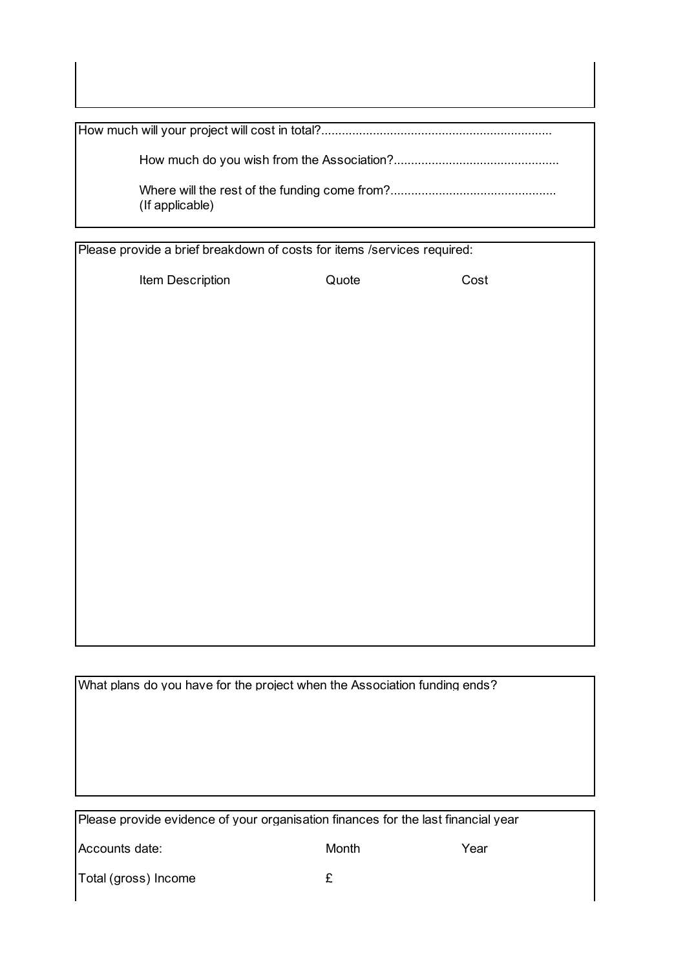How much will your project will cost in total?................................................................... How much do you wish from the Association?................................................ Where will the rest of the funding come from?................................................

(If applicable)

Please provide a brief breakdown of costs for items /services required:

Item Description **Cost** Quote Cost

What plans do you have for the project when the Association funding ends?

Please provide evidence of your organisation finances for the last financial year

Accounts date: Month Month Year

Total (gross) Income  $\epsilon$